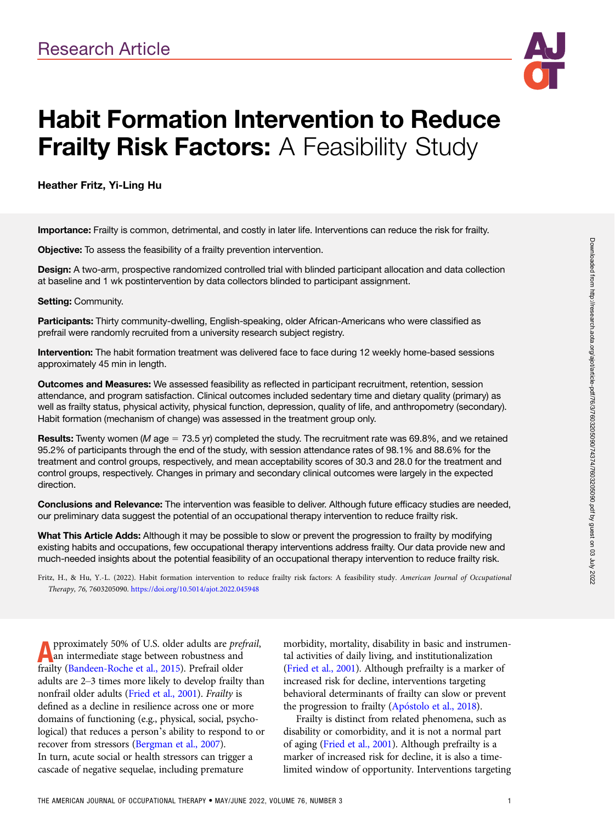

# Habit Formation Intervention to Reduce **Frailty Risk Factors: A Feasibility Study**

Heather Fritz, Yi-Ling Hu

Importance: Frailty is common, detrimental, and costly in later life. Interventions can reduce the risk for frailty.

Objective: To assess the feasibility of a frailty prevention intervention.

Design: A two-arm, prospective randomized controlled trial with blinded participant allocation and data collection at baseline and 1 wk postintervention by data collectors blinded to participant assignment.

#### Setting: Community.

Participants: Thirty community-dwelling, English-speaking, older African-Americans who were classified as prefrail were randomly recruited from a university research subject registry.

Intervention: The habit formation treatment was delivered face to face during 12 weekly home-based sessions approximately 45 min in length.

Outcomes and Measures: We assessed feasibility as reflected in participant recruitment, retention, session attendance, and program satisfaction. Clinical outcomes included sedentary time and dietary quality (primary) as well as frailty status, physical activity, physical function, depression, quality of life, and anthropometry (secondary). Habit formation (mechanism of change) was assessed in the treatment group only.

**Results:** Twenty women (M age = 73.5 yr) completed the study. The recruitment rate was 69.8%, and we retained 95.2% of participants through the end of the study, with session attendance rates of 98.1% and 88.6% for the treatment and control groups, respectively, and mean acceptability scores of 30.3 and 28.0 for the treatment and control groups, respectively. Changes in primary and secondary clinical outcomes were largely in the expected direction.

Conclusions and Relevance: The intervention was feasible to deliver. Although future efficacy studies are needed, our preliminary data suggest the potential of an occupational therapy intervention to reduce frailty risk.

What This Article Adds: Although it may be possible to slow or prevent the progression to frailty by modifying existing habits and occupations, few occupational therapy interventions address frailty. Our data provide new and much-needed insights about the potential feasibility of an occupational therapy intervention to reduce frailty risk.

Fritz, H., & Hu, Y.-L. (2022). Habit formation intervention to reduce frailty risk factors: A feasibility study. American Journal of Occupational Therapy, 76, 7603205090. <https://doi.org/10.5014/ajot.2022.045948>

**A** pproximately 50% of U.S. older adults are *pre* an intermediate stage between robustness and frailty ([Bandeen-Roche et al., 2015](#page-9-0)). Prefrail older pproximately 50% of U.S. older adults are prefrail, an intermediate stage between robustness and adults are 2–3 times more likely to develop frailty than nonfrail older adults [\(Fried et al., 2001](#page-9-0)). Frailty is defined as a decline in resilience across one or more domains of functioning (e.g., physical, social, psychological) that reduces a person's ability to respond to or recover from stressors [\(Bergman et al., 2007](#page-9-0)). In turn, acute social or health stressors can trigger a cascade of negative sequelae, including premature

morbidity, mortality, disability in basic and instrumental activities of daily living, and institutionalization [\(Fried et al., 2001](#page-9-0)). Although prefrailty is a marker of increased risk for decline, interventions targeting behavioral determinants of frailty can slow or prevent the progression to frailty (Apóstolo et al., 2018).

Frailty is distinct from related phenomena, such as disability or comorbidity, and it is not a normal part of aging [\(Fried et al., 2001\)](#page-9-0). Although prefrailty is a marker of increased risk for decline, it is also a timelimited window of opportunity. Interventions targeting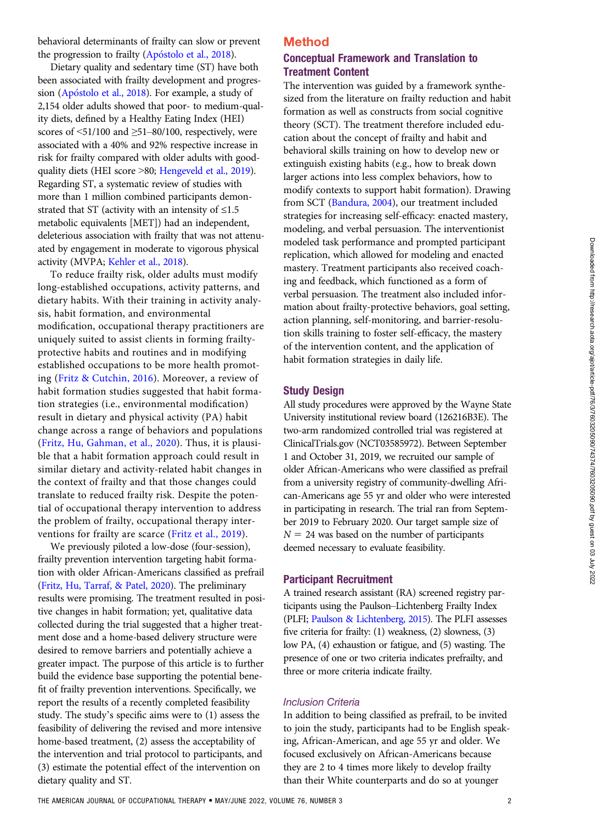behavioral determinants of frailty can slow or prevent the progression to frailty (Apóstolo et al., 2018).

Dietary quality and sedentary time (ST) have both been associated with frailty development and progression (Apóstolo et al., 2018). For example, a study of 2,154 older adults showed that poor- to medium-quality diets, defined by a Healthy Eating Index (HEI) scores of  $\leq 51/100$  and  $\geq 51-80/100$ , respectively, were associated with a 40% and 92% respective increase in risk for frailty compared with older adults with goodquality diets (HEI score >80; [Hengeveld et al., 2019\)](#page-9-0). Regarding ST, a systematic review of studies with more than 1 million combined participants demonstrated that ST (activity with an intensity of  $\leq$ 1.5 metabolic equivalents [MET]) had an independent, deleterious association with frailty that was not attenuated by engagement in moderate to vigorous physical activity (MVPA; [Kehler et al., 2018\)](#page-9-0).

To reduce frailty risk, older adults must modify long-established occupations, activity patterns, and dietary habits. With their training in activity analysis, habit formation, and environmental modification, occupational therapy practitioners are uniquely suited to assist clients in forming frailtyprotective habits and routines and in modifying established occupations to be more health promoting [\(Fritz & Cutchin, 2016\)](#page-9-0). Moreover, a review of habit formation studies suggested that habit formation strategies (i.e., environmental modification) result in dietary and physical activity (PA) habit change across a range of behaviors and populations [\(Fritz, Hu, Gahman, et al., 2020\)](#page-9-0). Thus, it is plausible that a habit formation approach could result in similar dietary and activity-related habit changes in the context of frailty and that those changes could translate to reduced frailty risk. Despite the potential of occupational therapy intervention to address the problem of frailty, occupational therapy interventions for frailty are scarce ([Fritz et al., 2019\)](#page-9-0).

We previously piloted a low-dose (four-session), frailty prevention intervention targeting habit formation with older African-Americans classified as prefrail [\(Fritz, Hu, Tarraf, & Patel, 2020\)](#page-9-0). The preliminary results were promising. The treatment resulted in positive changes in habit formation; yet, qualitative data collected during the trial suggested that a higher treatment dose and a home-based delivery structure were desired to remove barriers and potentially achieve a greater impact. The purpose of this article is to further build the evidence base supporting the potential benefit of frailty prevention interventions. Specifically, we report the results of a recently completed feasibility study. The study's specific aims were to (1) assess the feasibility of delivering the revised and more intensive home-based treatment, (2) assess the acceptability of the intervention and trial protocol to participants, and (3) estimate the potential effect of the intervention on dietary quality and ST.

# Method Conceptual Framework and Translation to Treatment Content

The intervention was guided by a framework synthesized from the literature on frailty reduction and habit formation as well as constructs from social cognitive theory (SCT). The treatment therefore included education about the concept of frailty and habit and behavioral skills training on how to develop new or extinguish existing habits (e.g., how to break down larger actions into less complex behaviors, how to modify contexts to support habit formation). Drawing from SCT [\(Bandura, 2004\)](#page-9-0), our treatment included strategies for increasing self-efficacy: enacted mastery, modeling, and verbal persuasion. The interventionist modeled task performance and prompted participant replication, which allowed for modeling and enacted mastery. Treatment participants also received coaching and feedback, which functioned as a form of verbal persuasion. The treatment also included information about frailty-protective behaviors, goal setting, action planning, self-monitoring, and barrier-resolution skills training to foster self-efficacy, the mastery of the intervention content, and the application of habit formation strategies in daily life.

#### Study Design

All study procedures were approved by the Wayne State University institutional review board (126216B3E). The two-arm randomized controlled trial was registered at ClinicalTrials.gov (NCT03585972). Between September 1 and October 31, 2019, we recruited our sample of older African-Americans who were classified as prefrail from a university registry of community-dwelling African-Americans age 55 yr and older who were interested in participating in research. The trial ran from September 2019 to February 2020. Our target sample size of  $N = 24$  was based on the number of participants deemed necessary to evaluate feasibility.

#### Participant Recruitment

A trained research assistant (RA) screened registry participants using the Paulson–Lichtenberg Frailty Index (PLFI; [Paulson & Lichtenberg, 2015](#page-10-0)). The PLFI assesses five criteria for frailty: (1) weakness, (2) slowness, (3) low PA, (4) exhaustion or fatigue, and (5) wasting. The presence of one or two criteria indicates prefrailty, and three or more criteria indicate frailty.

#### Inclusion Criteria

In addition to being classified as prefrail, to be invited to join the study, participants had to be English speaking, African-American, and age 55 yr and older. We focused exclusively on African-Americans because they are 2 to 4 times more likely to develop frailty than their White counterparts and do so at younger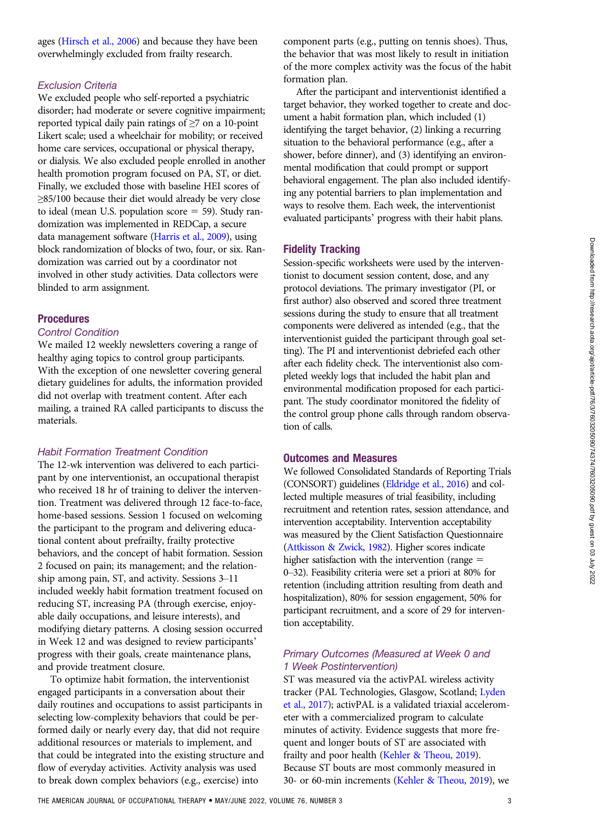ages [\(Hirsch et al., 2006\)](#page-9-0) and because they have been overwhelmingly excluded from frailty research.

#### Exclusion Criteria

We excluded people who self-reported a psychiatric disorder; had moderate or severe cognitive impairment; reported typical daily pain ratings of ≥7 on a 10-point Likert scale; used a wheelchair for mobility; or received home care services, occupational or physical therapy, or dialysis. We also excluded people enrolled in another health promotion program focused on PA, ST, or diet. Finally, we excluded those with baseline HEI scores of ≥85/100 because their diet would already be very close to ideal (mean U.S. population score  $=$  59). Study randomization was implemented in REDCap, a secure data management software [\(Harris et al., 2009](#page-9-0)), using block randomization of blocks of two, four, or six. Randomization was carried out by a coordinator not involved in other study activities. Data collectors were blinded to arm assignment.

#### **Procedures**

#### Control Condition

We mailed 12 weekly newsletters covering a range of healthy aging topics to control group participants. With the exception of one newsletter covering general dietary guidelines for adults, the information provided did not overlap with treatment content. After each mailing, a trained RA called participants to discuss the materials.

#### Habit Formation Treatment Condition

The 12-wk intervention was delivered to each participant by one interventionist, an occupational therapist who received 18 hr of training to deliver the intervention. Treatment was delivered through 12 face-to-face, home-based sessions. Session 1 focused on welcoming the participant to the program and delivering educational content about prefrailty, frailty protective behaviors, and the concept of habit formation. Session 2 focused on pain; its management; and the relationship among pain, ST, and activity. Sessions 3–11 included weekly habit formation treatment focused on reducing ST, increasing PA (through exercise, enjoyable daily occupations, and leisure interests), and modifying dietary patterns. A closing session occurred in Week 12 and was designed to review participants' progress with their goals, create maintenance plans, and provide treatment closure.

To optimize habit formation, the interventionist engaged participants in a conversation about their daily routines and occupations to assist participants in selecting low-complexity behaviors that could be performed daily or nearly every day, that did not require additional resources or materials to implement, and that could be integrated into the existing structure and flow of everyday activities. Activity analysis was used to break down complex behaviors (e.g., exercise) into

component parts (e.g., putting on tennis shoes). Thus, the behavior that was most likely to result in initiation of the more complex activity was the focus of the habit formation plan.

After the participant and interventionist identified a target behavior, they worked together to create and document a habit formation plan, which included (1) identifying the target behavior, (2) linking a recurring situation to the behavioral performance (e.g., after a shower, before dinner), and (3) identifying an environmental modification that could prompt or support behavioral engagement. The plan also included identifying any potential barriers to plan implementation and ways to resolve them. Each week, the interventionist evaluated participants' progress with their habit plans.

## Fidelity Tracking

Session-specific worksheets were used by the interventionist to document session content, dose, and any protocol deviations. The primary investigator (PI, or first author) also observed and scored three treatment sessions during the study to ensure that all treatment components were delivered as intended (e.g., that the interventionist guided the participant through goal setting). The PI and interventionist debriefed each other after each fidelity check. The interventionist also completed weekly logs that included the habit plan and environmental modification proposed for each participant. The study coordinator monitored the fidelity of the control group phone calls through random observation of calls.

#### Outcomes and Measures

We followed Consolidated Standards of Reporting Trials (CONSORT) guidelines [\(Eldridge et al., 2016\)](#page-9-0) and collected multiple measures of trial feasibility, including recruitment and retention rates, session attendance, and intervention acceptability. Intervention acceptability was measured by the Client Satisfaction Questionnaire [\(Attkisson & Zwick, 1982\)](#page-9-0). Higher scores indicate higher satisfaction with the intervention (range  $=$ 0–32). Feasibility criteria were set a priori at 80% for retention (including attrition resulting from death and hospitalization), 80% for session engagement, 50% for participant recruitment, and a score of 29 for intervention acceptability.

## Primary Outcomes (Measured at Week 0 and 1 Week Postintervention)

ST was measured via the activPAL wireless activity tracker (PAL Technologies, Glasgow, Scotland; [Lyden](#page-9-0) [et al., 2017\)](#page-9-0); activPAL is a validated triaxial accelerometer with a commercialized program to calculate minutes of activity. Evidence suggests that more frequent and longer bouts of ST are associated with frailty and poor health [\(Kehler & Theou, 2019\)](#page-9-0). Because ST bouts are most commonly measured in 30- or 60-min increments [\(Kehler & Theou, 2019\)](#page-9-0), we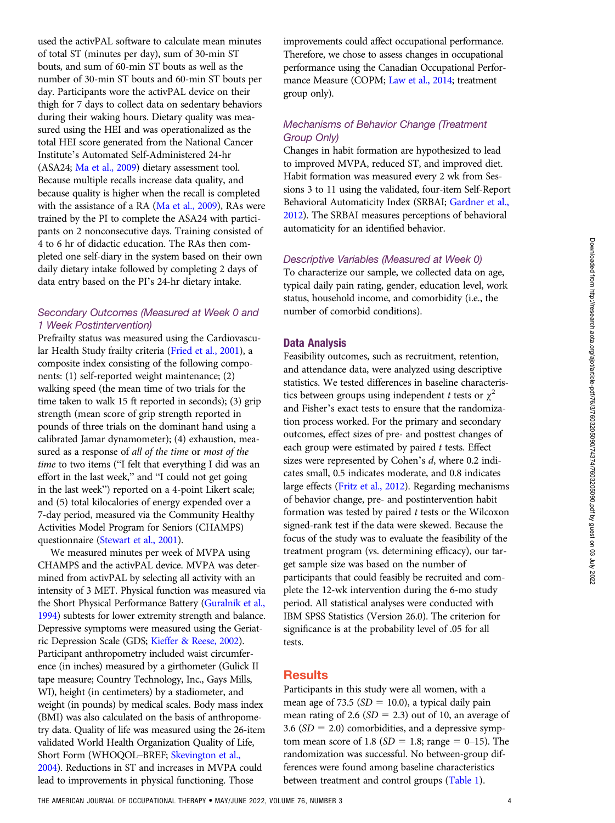used the activPAL software to calculate mean minutes of total ST (minutes per day), sum of 30-min ST bouts, and sum of 60-min ST bouts as well as the number of 30-min ST bouts and 60-min ST bouts per day. Participants wore the activPAL device on their thigh for 7 days to collect data on sedentary behaviors during their waking hours. Dietary quality was measured using the HEI and was operationalized as the total HEI score generated from the National Cancer Institute's Automated Self-Administered 24-hr (ASA24; [Ma et al., 2009](#page-9-0)) dietary assessment tool. Because multiple recalls increase data quality, and because quality is higher when the recall is completed with the assistance of a RA [\(Ma et al., 2009](#page-9-0)), RAs were trained by the PI to complete the ASA24 with participants on 2 nonconsecutive days. Training consisted of 4 to 6 hr of didactic education. The RAs then completed one self-diary in the system based on their own daily dietary intake followed by completing 2 days of data entry based on the PI's 24-hr dietary intake.

## Secondary Outcomes (Measured at Week 0 and 1 Week Postintervention)

Prefrailty status was measured using the Cardiovascular Health Study frailty criteria [\(Fried et al., 2001\)](#page-9-0), a composite index consisting of the following components: (1) self-reported weight maintenance; (2) walking speed (the mean time of two trials for the time taken to walk 15 ft reported in seconds); (3) grip strength (mean score of grip strength reported in pounds of three trials on the dominant hand using a calibrated Jamar dynamometer); (4) exhaustion, measured as a response of all of the time or most of the time to two items ("I felt that everything I did was an effort in the last week," and "I could not get going in the last week") reported on a 4-point Likert scale; and (5) total kilocalories of energy expended over a 7-day period, measured via the Community Healthy Activities Model Program for Seniors (CHAMPS) questionnaire [\(Stewart et al., 2001\)](#page-10-0).

We measured minutes per week of MVPA using CHAMPS and the activPAL device. MVPA was determined from activPAL by selecting all activity with an intensity of 3 MET. Physical function was measured via the Short Physical Performance Battery [\(Guralnik et al.,](#page-9-0) [1994](#page-9-0)) subtests for lower extremity strength and balance. Depressive symptoms were measured using the Geriatric Depression Scale (GDS; [Kieffer & Reese, 2002\)](#page-9-0). Participant anthropometry included waist circumference (in inches) measured by a girthometer (Gulick II tape measure; Country Technology, Inc., Gays Mills, WI), height (in centimeters) by a stadiometer, and weight (in pounds) by medical scales. Body mass index (BMI) was also calculated on the basis of anthropometry data. Quality of life was measured using the 26-item validated World Health Organization Quality of Life, Short Form (WHOQOL–BREF; [Skevington et al.,](#page-10-0) [2004](#page-10-0)). Reductions in ST and increases in MVPA could lead to improvements in physical functioning. Those

improvements could affect occupational performance. Therefore, we chose to assess changes in occupational performance using the Canadian Occupational Performance Measure (COPM; [Law et al., 2014;](#page-9-0) treatment group only).

## Mechanisms of Behavior Change (Treatment Group Only)

Changes in habit formation are hypothesized to lead to improved MVPA, reduced ST, and improved diet. Habit formation was measured every 2 wk from Sessions 3 to 11 using the validated, four-item Self-Report Behavioral Automaticity Index (SRBAI; [Gardner et al.,](#page-9-0) [2012](#page-9-0)). The SRBAI measures perceptions of behavioral automaticity for an identified behavior.

#### Descriptive Variables (Measured at Week 0)

To characterize our sample, we collected data on age, typical daily pain rating, gender, education level, work status, household income, and comorbidity (i.e., the number of comorbid conditions).

#### Data Analysis

Feasibility outcomes, such as recruitment, retention, and attendance data, were analyzed using descriptive statistics. We tested differences in baseline characteristics between groups using independent t tests or  $\chi^2$ and Fisher's exact tests to ensure that the randomization process worked. For the primary and secondary outcomes, effect sizes of pre- and posttest changes of each group were estimated by paired  $t$  tests. Effect sizes were represented by Cohen's d, where 0.2 indicates small, 0.5 indicates moderate, and 0.8 indicates large effects ([Fritz et al., 2012\)](#page-9-0). Regarding mechanisms of behavior change, pre- and postintervention habit formation was tested by paired  $t$  tests or the Wilcoxon signed-rank test if the data were skewed. Because the focus of the study was to evaluate the feasibility of the treatment program (vs. determining efficacy), our target sample size was based on the number of participants that could feasibly be recruited and complete the 12-wk intervention during the 6-mo study period. All statistical analyses were conducted with IBM SPSS Statistics (Version 26.0). The criterion for significance is at the probability level of .05 for all tests.

## **Results**

Participants in this study were all women, with a mean age of 73.5 ( $SD = 10.0$ ), a typical daily pain mean rating of 2.6 ( $SD = 2.3$ ) out of 10, an average of 3.6 ( $SD = 2.0$ ) comorbidities, and a depressive symptom mean score of 1.8 ( $SD = 1.8$ ; range = 0–15). The randomization was successful. No between-group differences were found among baseline characteristics between treatment and control groups ([Table 1\)](#page-4-0).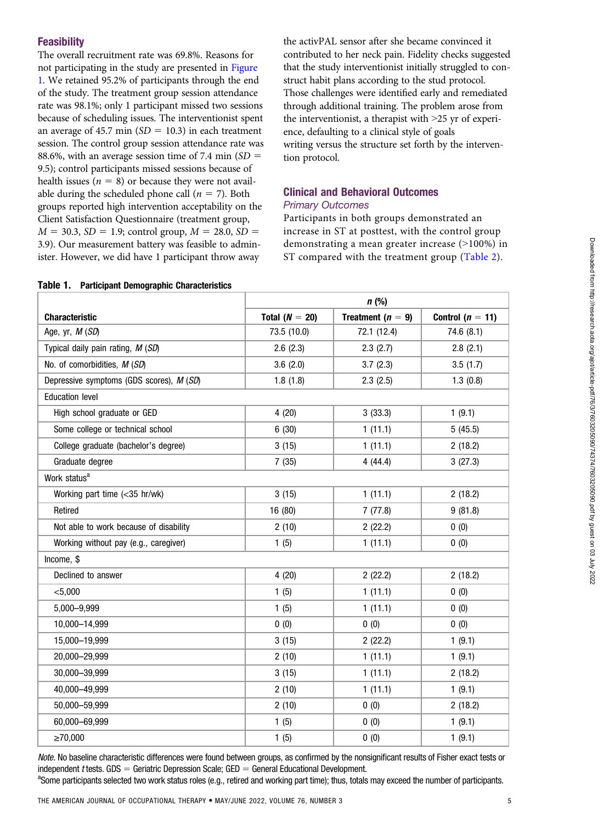## **Feasibility**

The overall recruitment rate was 69.8%. Reasons for not participating in the study are presented in [Figure](#page-5-0) [1](#page-5-0). We retained 95.2% of participants through the end of the study. The treatment group session attendance rate was 98.1%; only 1 participant missed two sessions because of scheduling issues. The interventionist spent an average of 45.7 min ( $SD = 10.3$ ) in each treatment session. The control group session attendance rate was 88.6%, with an average session time of 7.4 min  $SD =$ 9.5); control participants missed sessions because of health issues ( $n = 8$ ) or because they were not available during the scheduled phone call ( $n = 7$ ). Both groups reported high intervention acceptability on the Client Satisfaction Questionnaire (treatment group,  $M = 30.3$ ,  $SD = 1.9$ ; control group,  $M = 28.0$ ,  $SD =$ 3.9). Our measurement battery was feasible to administer. However, we did have 1 participant throw away

<span id="page-4-0"></span>Table 1. Participant Demographic Characteristics

the activPAL sensor after she became convinced it contributed to her neck pain. Fidelity checks suggested that the study interventionist initially struggled to construct habit plans according to the stud protocol. Those challenges were identified early and remediated through additional training. The problem arose from the interventionist, a therapist with >25 yr of experience, defaulting to a clinical style of goals writing versus the structure set forth by the intervention protocol.

## Clinical and Behavioral Outcomes Primary Outcomes

Participants in both groups demonstrated an increase in ST at posttest, with the control group demonstrating a mean greater increase (>100%) in ST compared with the treatment group [\(Table 2](#page-6-0)).

|                                          |                  | $n$ (%)             |                      |
|------------------------------------------|------------------|---------------------|----------------------|
| <b>Characteristic</b>                    | Total $(N = 20)$ | Treatment $(n = 9)$ | Control ( $n = 11$ ) |
| Age, yr, M (SD)                          | 73.5 (10.0)      | 72.1 (12.4)         | 74.6 (8.1)           |
| Typical daily pain rating, M (SD)        | 2.6(2.3)         | 2.3(2.7)            | 2.8(2.1)             |
| No. of comorbidities, M (SD)             | 3.6(2.0)         | 3.7(2.3)            | 3.5(1.7)             |
| Depressive symptoms (GDS scores), M (SD) | 1.8(1.8)         | 2.3(2.5)            | 1.3(0.8)             |
| <b>Education level</b>                   |                  |                     |                      |
| High school graduate or GED              | 4(20)            | 3(33.3)             | 1(9.1)               |
| Some college or technical school         | 6(30)            | 1(11.1)             | 5(45.5)              |
| College graduate (bachelor's degree)     | 3(15)            | 1(11.1)             | 2(18.2)              |
| Graduate degree                          | 7(35)            | 4(44.4)             | 3(27.3)              |
| Work status <sup>a</sup>                 |                  |                     |                      |
| Working part time (<35 hr/wk)            | 3(15)            | 1(11.1)             | 2(18.2)              |
| Retired                                  | 16 (80)          | 7(77.8)             | 9(81.8)              |
| Not able to work because of disability   | 2(10)            | 2(22.2)             | 0(0)                 |
| Working without pay (e.g., caregiver)    | 1(5)             | 1(11.1)             | 0(0)                 |
| Income, \$                               |                  |                     |                      |
| Declined to answer                       | 4(20)            | 2(22.2)             | 2(18.2)              |
| $<$ 5,000                                | 1(5)             | 1(11.1)             | 0(0)                 |
| 5,000-9,999                              | 1(5)             | 1(11.1)             | 0(0)                 |
| 10,000-14,999                            | 0(0)             | 0(0)                | 0(0)                 |
| 15,000-19,999                            | 3(15)            | 2(22.2)             | 1(9.1)               |
| 20,000-29,999                            | 2(10)            | 1(11.1)             | 1(9.1)               |
| 30,000-39,999                            | 3(15)            | 1(11.1)             | 2(18.2)              |
| 40,000-49,999                            | 2(10)            | 1(11.1)             | 1(9.1)               |
| 50,000-59,999                            | 2(10)            | 0(0)                | 2(18.2)              |
| 60,000-69,999                            | 1(5)             | 0(0)                | 1(9.1)               |
| ≥70,000                                  | 1(5)             | 0(0)                | 1(9.1)               |

Note. No baseline characteristic differences were found between groups, as confirmed by the nonsignificant results of Fisher exact tests or independent *t* tests. GDS = Geriatric Depression Scale; GED = General Educational Development.

<sup>a</sup>Some participants selected two work status roles (e.g., retired and working part time); thus, totals may exceed the number of participants.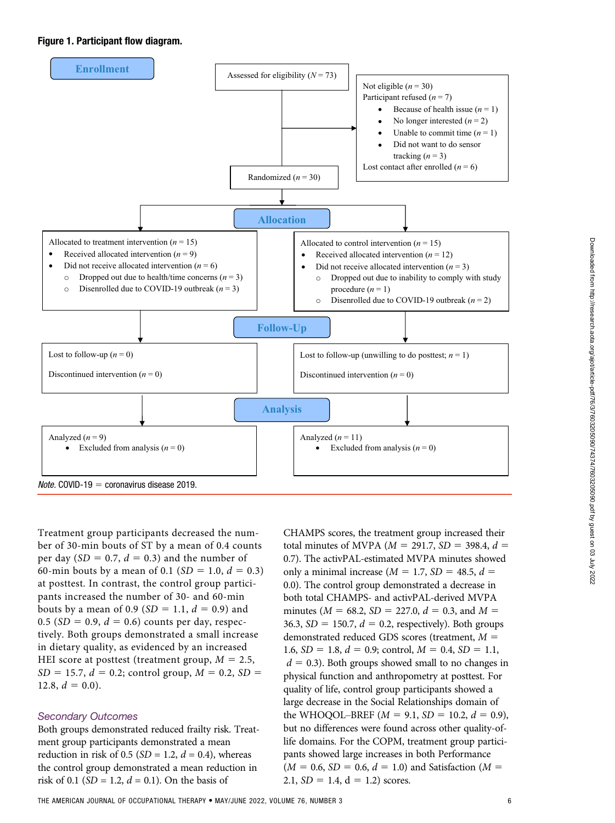#### <span id="page-5-0"></span>Figure 1. Participant flow diagram.



Treatment group participants decreased the number of 30-min bouts of ST by a mean of 0.4 counts per day (SD = 0.7,  $d = 0.3$ ) and the number of 60-min bouts by a mean of 0.1 ( $SD = 1.0$ ,  $d = 0.3$ ) at posttest. In contrast, the control group participants increased the number of 30- and 60-min bouts by a mean of 0.9 ( $SD = 1.1$ ,  $d = 0.9$ ) and 0.5 ( $SD = 0.9$ ,  $d = 0.6$ ) counts per day, respectively. Both groups demonstrated a small increase in dietary quality, as evidenced by an increased HEI score at posttest (treatment group,  $M = 2.5$ ,  $SD = 15.7, d = 0.2$ ; control group,  $M = 0.2, SD =$ 12.8,  $d = 0.0$ ).

## Secondary Outcomes

Both groups demonstrated reduced frailty risk. Treatment group participants demonstrated a mean reduction in risk of 0.5 ( $SD = 1.2$ ,  $d = 0.4$ ), whereas the control group demonstrated a mean reduction in risk of 0.1 ( $SD = 1.2$ ,  $d = 0.1$ ). On the basis of

CHAMPS scores, the treatment group increased their total minutes of MVPA ( $M = 291.7$ ,  $SD = 398.4$ ,  $d =$ 0.7). The activPAL-estimated MVPA minutes showed only a minimal increase ( $M = 1.7$ ,  $SD = 48.5$ ,  $d =$ 0.0). The control group demonstrated a decrease in both total CHAMPS- and activPAL-derived MVPA minutes ( $M = 68.2$ ,  $SD = 227.0$ ,  $d = 0.3$ , and  $M =$ 36.3,  $SD = 150.7$ ,  $d = 0.2$ , respectively). Both groups demonstrated reduced GDS scores (treatment,  $M =$ 1.6,  $SD = 1.8$ ,  $d = 0.9$ ; control,  $M = 0.4$ ,  $SD = 1.1$ ,  $d = 0.3$ ). Both groups showed small to no changes in physical function and anthropometry at posttest. For quality of life, control group participants showed a large decrease in the Social Relationships domain of the WHOQOL–BREF  $(M = 9.1, SD = 10.2, d = 0.9)$ , but no differences were found across other quality-oflife domains. For the COPM, treatment group participants showed large increases in both Performance  $(M = 0.6, SD = 0.6, d = 1.0)$  and Satisfaction  $(M = 1.6, S)$ 2.1,  $SD = 1.4$ ,  $d = 1.2$ ) scores.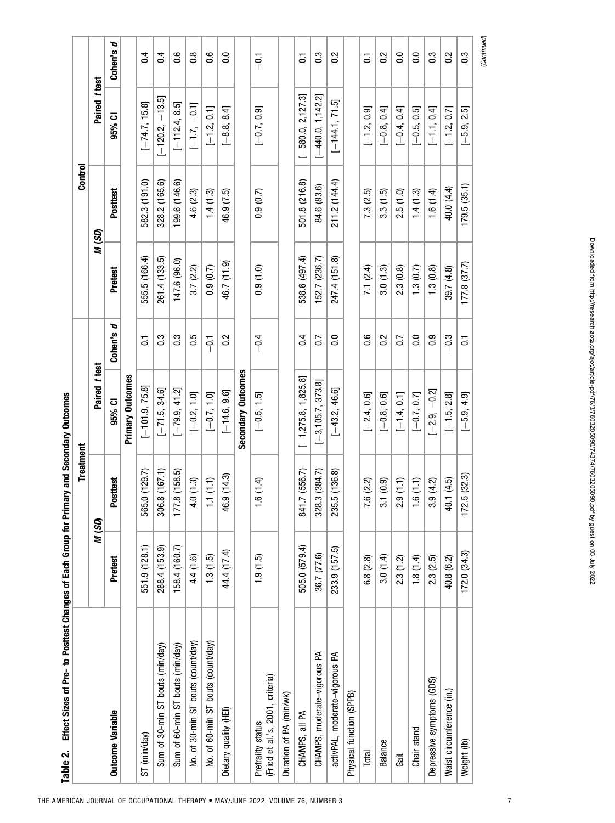<span id="page-6-0"></span>

| Effect Sizes of Pre- to Posttest Changes of Each Group for Primary and Secondary Outcomes<br>Table 2. |               |                           |                       |                  |               |               |                               |                  |
|-------------------------------------------------------------------------------------------------------|---------------|---------------------------|-----------------------|------------------|---------------|---------------|-------------------------------|------------------|
|                                                                                                       |               | Treatment                 |                       |                  |               | Control       |                               |                  |
|                                                                                                       |               | M (SD)                    | Paired t test         |                  | M (SD)        |               | Paired t test                 |                  |
| <b>Outcome Variable</b>                                                                               | Pretest       | Posttest                  | 95% CI                | Cohen's d        | Pretest       | Posttest      | 95% CI                        | Cohen's d        |
|                                                                                                       |               |                           | Primary Outcomes      |                  |               |               |                               |                  |
| ST (min/day)                                                                                          | 551.9 (128.1) | (129.7)<br>565.           | $[-101.9, 75.8]$      | $\overline{c}$   | 555.5 (166.4) | 582.3 (191.0) | $[-74.7, 15.8]$               | $\overline{0.4}$ |
| Sum of 30-min ST bouts (min/day)                                                                      | 288.4 (153.9) | 8(167.1)<br>306.          | $[-71.5, 34.6]$       | $0.\overline{3}$ | 261.4 (133.5) | 328.2 (165.6) | $[-120.2, -13.5]$             | 0.4              |
| Sum of 60-min ST bouts (min/day)                                                                      | 158.4 (160.7) | .8(158.5)<br>177.         | $[-79.9, 41.2]$       | $0.\overline{3}$ | 147.6 (96.0)  | 199.6 (146.6) | $[-112.4, 8.5]$               | 0.6              |
| No. of 30-min ST bouts (count/day)                                                                    | 4.4 (1.6)     | 4.0(1.3)                  | $[-0.2, 1.0]$         | 0.5              | 3.7(2.2)      | 4.6 (2.3)     | $[-1.7, -0.1]$                | $\frac{8}{1}$    |
| No. of 60-min ST bouts (count/day)                                                                    | 1.3(1.5)      | 1.1(1.1)                  | $[-0.7, 1.0]$         | $-5$             | (0.9, 0.7)    | 1.4(1.3)      | $[-1.2, 0.1]$                 | 0.6              |
| Dietary quality (HEI)                                                                                 | 44.4 (17.4)   | 9(14.3)<br>\$             | $[-14.6, 9.6]$        | 0.2              | 46.7 (11.9)   | 46.9 (7.5)    | $[-8.8, 8.4]$                 | $\overline{0}$   |
|                                                                                                       |               |                           | Secondary Outcomes    |                  |               |               |                               |                  |
| (Fried et al.'s, 2001, criteria)<br>Prefrailty status                                                 | (1.9(1.5)     | (1.4)                     | $[-0.5, 1.5]$         | $-0.4$           | 0.9(1.0)      | (0.9, 0.7)    | $[-0.7, 0.9]$                 | $-0.1$           |
| Duration of PA (min/wk)                                                                               |               |                           |                       |                  |               |               |                               |                  |
| CHAMPS, all PA                                                                                        | 505.0 (579.4) | 841.7 (556.7)             | $[-1,275.8, 1,825.8]$ | 0.4              | 538.6 (497.4) | 501.8 (216.8) | $[-580.0, 2, 127.3]$          | $\overline{a}$   |
| CHAMPS, moderate-vigorous PA                                                                          | 36.7 (77.6)   | .3(384.7)<br>328.         | $[-3, 105.7, 373.8]$  | 0.7              | 152.7 (236.7) | 84.6 (83.6)   | $[-440.0, 1, 142.2]$          | 0.3              |
| activPAL, moderate-vigorous PA                                                                        | 233.9 (157.5) | 5(136.8)<br>235.          | $[-43.2, 46.6]$       | $\overline{0}$ . | 247.4 (151.8) | 211.2 (144.4) | $[-144.1, 71.5]$              | $\frac{2}{3}$    |
| Physical function (SPPB)                                                                              |               |                           |                       |                  |               |               |                               |                  |
| Total                                                                                                 | 6.8(2.8)      | .6(2.2)<br>$\overline{ }$ | $[-2.4, 0.6]$         | $0.\overline{6}$ | 7.1 (2.4)     | 7.3 (2.5)     | $[-1.2, 0.9]$                 | $\overline{c}$   |
| <b>Balance</b>                                                                                        | 3.0(1.4)      | 3.1(0.9)                  | $[-0.8, 0.6]$         | 0.2              | 3.0(1.3)      | 3.3(1.5)      | $[-0.8, 0.4]$                 | 0.2              |
| Gait                                                                                                  | 2.3(1.2)      | (1.1)<br>N                | $[-1.4, 0.1]$         | 0.7              | 2.3(0.8)      | 2.5(1.0)      | $[-0.4, 0.4]$                 | $\overline{0}$   |
| Chair stand                                                                                           | 1.8(1.4)      | .6(1.1)                   | $[-0.7, 0.7]$         | $\overline{0}$ . | 1.3(0.7)      | 1.4(1.3)      | $[-0.5, 0.5]$                 | $\overline{0}$ . |
| Depressive symptoms (GDS)                                                                             | 2.3(2.5)      | 3.9(4.2)                  | $[-2.9, -0.2]$        | $\overline{0}$ . | 1.3(0.8)      | 1.6(1.4)      | $[-1.1, 0.4]$                 | $\overline{0}$   |
| Waist circumference (in.)                                                                             | 40.8 (6.2)    | 40.1 (4.5)                | $[-1.5, 2.8]$         | $-0.3$           | 39.7 (4.8)    | 40.0 (4.4)    | $[-1.2, 0.7]$                 | 0.2              |
| Weight (lb)                                                                                           | 172.0(34.3)   | .5(32.3)<br>172           | $[-5.9, 4.9]$         | $\overline{0}$   | 177.8(37.7)   | 179.5(35.1)   | $2.5\overline{)}$<br>$[-5.9,$ | 0.3              |
|                                                                                                       |               |                           |                       |                  |               |               |                               | (Continued)      |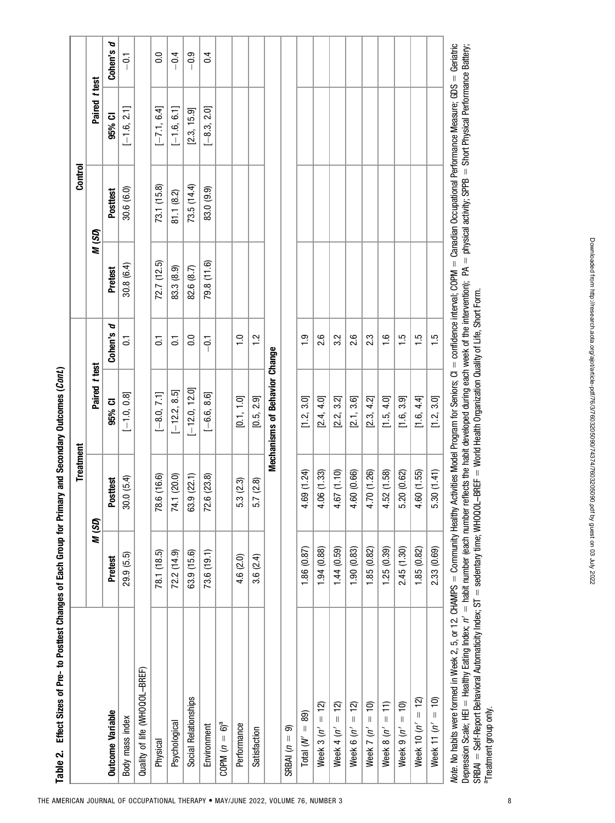| )<br>;<br>;   |
|---------------|
| I             |
| $\bf{1}$      |
|               |
|               |
|               |
| $\vdots$      |
| <br> <br>     |
| $\vdots$<br>i |
| i<br>,<br>I   |

|                                                                                                                                                                                                               |             | Treatment           |                               |                         |                | Control     |               |                  |
|---------------------------------------------------------------------------------------------------------------------------------------------------------------------------------------------------------------|-------------|---------------------|-------------------------------|-------------------------|----------------|-------------|---------------|------------------|
|                                                                                                                                                                                                               | M (SD)      |                     | Paired t test                 |                         |                | M (SD)      | Paired t test |                  |
| <b>Outcome Variable</b>                                                                                                                                                                                       | Pretest     | Posttest            | 95% CI                        | Cohen's d               | <b>Pretest</b> | Posttest    | 95% CI        | Cohen's d        |
| Body mass index                                                                                                                                                                                               | 29.9 (5.5)  | 0.0(5.4)<br>8       | $[-1.0, 0.8]$                 | $\overline{0}$          | 30.8 (6.4)     | 30.6 (6.0)  | $[-1.6, 2.1]$ | $\overline{5}$   |
| Quality of life (WHOQOL-BREF)                                                                                                                                                                                 |             |                     |                               |                         |                |             |               |                  |
| Physical                                                                                                                                                                                                      | 78.1 (18.5) | 78.6 (16.6)         | $[-8.0, 7.1]$                 | $\overline{C}$          | 72.7(12.5)     | 73.1 (15.8) | $[-7.1, 6.4]$ | $\overline{0}$ . |
| Psychological                                                                                                                                                                                                 | 72.2 (14.9) | 74.1 (20.0)         | $[-12.2, 8.5]$                | $\overline{\textsf{o}}$ | 83.3 (8.9)     | 81.1 (8.2)  | $[-1.6, 6.1]$ | $-0.4$           |
| Social Relationships                                                                                                                                                                                          | 63.9 (15.6) | 63.9 (22.1)         | $[-12.0, 12.0]$               | $\overline{0}$ .0       | 82.6 (8.7)     | 73.5(14.4)  | [2.3, 15.9]   | $-0.9$           |
| Environment                                                                                                                                                                                                   | 73.6 (19.1) | 72.6 (23.8)         | $[-6.6, 8.6]$                 | $-5$                    | 79.8 (11.6)    | 83.0 (9.9)  | $[-8.3, 2.0]$ | 0.4              |
| COPM $(n = 6)^a$                                                                                                                                                                                              |             |                     |                               |                         |                |             |               |                  |
| Performance                                                                                                                                                                                                   | 4.6 (2.0)   | .3(2.3)<br>ιó.      | [0.1, 1.0]                    | $\frac{0}{1}$           |                |             |               |                  |
| Satisfaction                                                                                                                                                                                                  | 3.6(2.4)    | 5.7(2.8)            | [0.5, 2.9]                    | $\frac{2}{1}$           |                |             |               |                  |
|                                                                                                                                                                                                               |             |                     | Mechanisms of Behavior Change |                         |                |             |               |                  |
| ெ<br>$SBBA$ $(n =$                                                                                                                                                                                            |             |                     |                               |                         |                |             |               |                  |
| 89)<br>$\parallel$<br>Total $(N'$                                                                                                                                                                             | 1.86(0.87)  | 69 (1.24)<br>4.     | [1.2, 3.0]                    | $\ddot{0}$              |                |             |               |                  |
| $= 12$<br>Week 3 $(n'$                                                                                                                                                                                        | 1.94 (0.88) | .06(1.33)<br>4.     | [2.4, 4.0]                    | 2.6                     |                |             |               |                  |
| <u>ମ</u><br>$\label{eq:1} \left\  \right\ $<br>Week 4 $(n'$                                                                                                                                                   | 1.44(0.59)  | .67(1.10)<br>4.     | [2.2, 3.2]                    | 3.2                     |                |             |               |                  |
| $\overline{12}$<br>$\label{eq:1} \parallel$<br>Week $6(n'$                                                                                                                                                    | 1.90(0.83)  | .60 (0.66)<br>4     | [2.1, 3.6]                    | 2.6                     |                |             |               |                  |
| $= 10$<br>Week 7 $(n'$                                                                                                                                                                                        | 1.85(0.82)  | 70 (1.26)<br>4      | [2.3, 4.2]                    | 2.3                     |                |             |               |                  |
| $= 11$<br>Week $8(n'$                                                                                                                                                                                         | 1.25(0.39)  | 52 (1.58)<br>4      | [1.5, 4.0]                    | $\frac{6}{1}$           |                |             |               |                  |
| Week 9 $(n' = 10)$                                                                                                                                                                                            | 2.45 (1.30) | 20 (0.62)<br>.<br>م | [1.6, 3.9]                    | $\frac{5}{1}$           |                |             |               |                  |
| Week 10 $(n' = 12)$                                                                                                                                                                                           | 1.85 (0.82) | 60 (1.55)<br>4.     | [1.6, 4.4]                    | $\frac{5}{1}$           |                |             |               |                  |
| Week 11 $(n' = 10)$                                                                                                                                                                                           | 2.33 (0.69) | 5.30(1.41)          | [1.2, 3.0]                    | $\frac{5}{1}$           |                |             |               |                  |
| Note. No habits were formed in Week 2, 5, or 12. CHAMPS = Community Healthy Activities Model Program for Seniors; Cl = confidence interval; CDPM = Canadian Occupational Performance Measure; GDS = Geriatric |             |                     |                               |                         |                |             |               |                  |

 Short Physical Performance Battery; physical activity; SPPB  $=$  Healthy Eating Index;  $n' =$  habit number (each number reflects the habit developed during each week of the intervention); PA World Health Organization Quality of Life, Short Form. sedentary time; WHOQOL–BREF Self-Report Behavioral Automaticity Index; ST <sup>a</sup>Treatment group only. aTreatment group only. Depression Scale; HEI SRBAI

Downloaded from http://research.aota.org/ajot/article-pdf/76/3/7603205090/74374/7603205090.pdf by guest on 03 July 2022 Downloaded from http://research.aota.org/ajot/article-pdf/76/3/7603205090/74374/7603205090.pdf by guest on 03 July 2022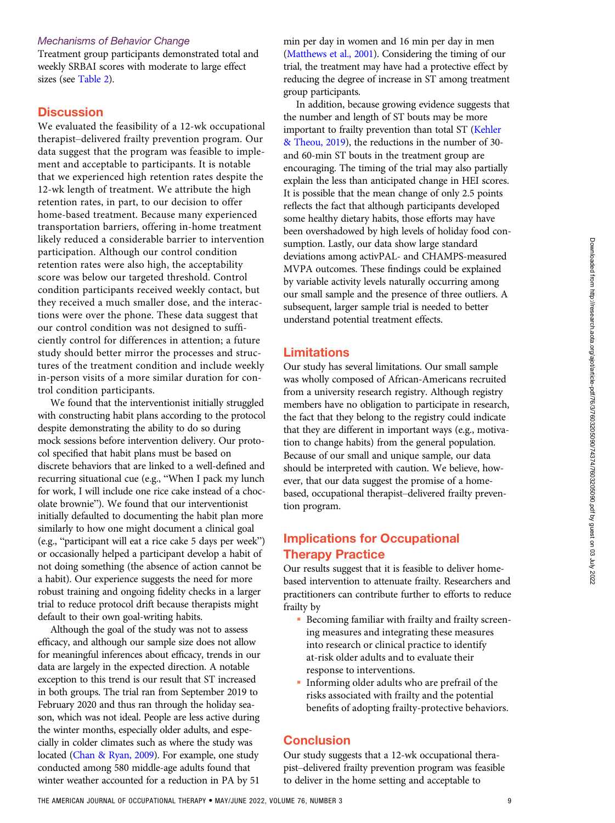#### Mechanisms of Behavior Change

Treatment group participants demonstrated total and weekly SRBAI scores with moderate to large effect sizes (see [Table 2](#page-6-0)).

## **Discussion**

We evaluated the feasibility of a 12-wk occupational therapist–delivered frailty prevention program. Our data suggest that the program was feasible to implement and acceptable to participants. It is notable that we experienced high retention rates despite the 12-wk length of treatment. We attribute the high retention rates, in part, to our decision to offer home-based treatment. Because many experienced transportation barriers, offering in-home treatment likely reduced a considerable barrier to intervention participation. Although our control condition retention rates were also high, the acceptability score was below our targeted threshold. Control condition participants received weekly contact, but they received a much smaller dose, and the interactions were over the phone. These data suggest that our control condition was not designed to sufficiently control for differences in attention; a future study should better mirror the processes and structures of the treatment condition and include weekly in-person visits of a more similar duration for control condition participants.

We found that the interventionist initially struggled with constructing habit plans according to the protocol despite demonstrating the ability to do so during mock sessions before intervention delivery. Our protocol specified that habit plans must be based on discrete behaviors that are linked to a well-defined and recurring situational cue (e.g., "When I pack my lunch for work, I will include one rice cake instead of a chocolate brownie"). We found that our interventionist initially defaulted to documenting the habit plan more similarly to how one might document a clinical goal (e.g., "participant will eat a rice cake 5 days per week") or occasionally helped a participant develop a habit of not doing something (the absence of action cannot be a habit). Our experience suggests the need for more robust training and ongoing fidelity checks in a larger trial to reduce protocol drift because therapists might default to their own goal-writing habits.

Although the goal of the study was not to assess efficacy, and although our sample size does not allow for meaningful inferences about efficacy, trends in our data are largely in the expected direction. A notable exception to this trend is our result that ST increased in both groups. The trial ran from September 2019 to February 2020 and thus ran through the holiday season, which was not ideal. People are less active during the winter months, especially older adults, and especially in colder climates such as where the study was located [\(Chan & Ryan, 2009](#page-9-0)). For example, one study conducted among 580 middle-age adults found that winter weather accounted for a reduction in PA by 51

min per day in women and 16 min per day in men [\(Matthews et al., 2001](#page-10-0)). Considering the timing of our trial, the treatment may have had a protective effect by reducing the degree of increase in ST among treatment group participants.

In addition, because growing evidence suggests that the number and length of ST bouts may be more important to frailty prevention than total ST ([Kehler](#page-9-0) [& Theou, 2019](#page-9-0)), the reductions in the number of 30 and 60-min ST bouts in the treatment group are encouraging. The timing of the trial may also partially explain the less than anticipated change in HEI scores. It is possible that the mean change of only 2.5 points reflects the fact that although participants developed some healthy dietary habits, those efforts may have been overshadowed by high levels of holiday food consumption. Lastly, our data show large standard deviations among activPAL- and CHAMPS-measured MVPA outcomes. These findings could be explained by variable activity levels naturally occurring among our small sample and the presence of three outliers. A subsequent, larger sample trial is needed to better understand potential treatment effects.

## Limitations

Our study has several limitations. Our small sample was wholly composed of African-Americans recruited from a university research registry. Although registry members have no obligation to participate in research, the fact that they belong to the registry could indicate that they are different in important ways (e.g., motivation to change habits) from the general population. Because of our small and unique sample, our data should be interpreted with caution. We believe, however, that our data suggest the promise of a homebased, occupational therapist–delivered frailty prevention program.

# Implications for Occupational Therapy Practice

Our results suggest that it is feasible to deliver homebased intervention to attenuate frailty. Researchers and practitioners can contribute further to efforts to reduce frailty by

- Becoming familiar with frailty and frailty screening measures and integrating these measures into research or clinical practice to identify at-risk older adults and to evaluate their response to interventions.
- Informing older adults who are prefrail of the risks associated with frailty and the potential benefits of adopting frailty-protective behaviors.

## **Conclusion**

Our study suggests that a 12-wk occupational therapist–delivered frailty prevention program was feasible to deliver in the home setting and acceptable to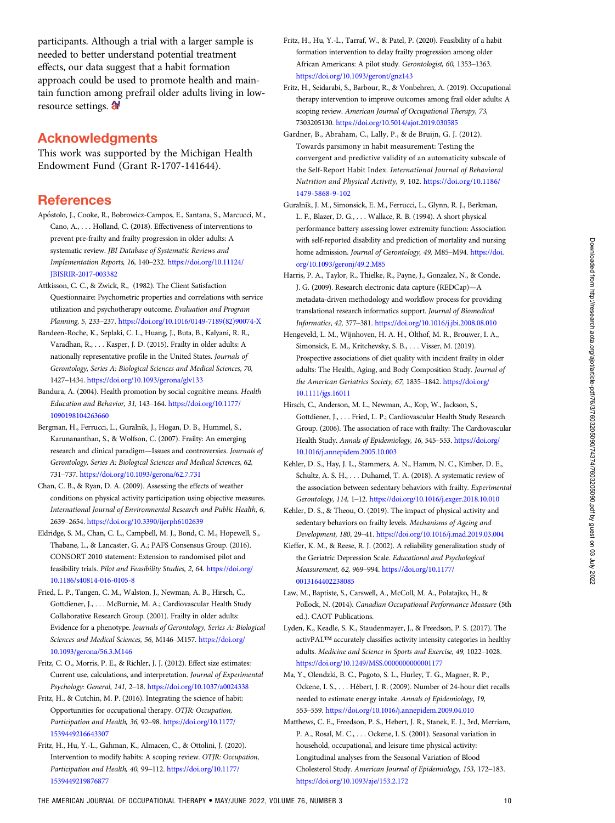<span id="page-9-0"></span>participants. Although a trial with a larger sample is needed to better understand potential treatment effects, our data suggest that a habit formation approach could be used to promote health and maintain function among prefrail older adults living in lowresource settings.  $\mathbf{\hat{a}}$ 

## Acknowledgments

This work was supported by the Michigan Health Endowment Fund (Grant R-1707-141644).

## **References**

- Apostolo, J., Cooke, R., Bobrowicz-Campos, E., Santana, S., Marcucci, M., Cano, A., . . . Holland, C. (2018). Effectiveness of interventions to prevent pre-frailty and frailty progression in older adults: A systematic review. JBI Database of Systematic Reviews and Implementation Reports, 16, 140–232. [https://doi.org/10.11124/](https://doi.org/10.11124/JBISRIR-2017-003382) [JBISRIR-2017-003382](https://doi.org/10.11124/JBISRIR-2017-003382)
- Attkisson, C. C., & Zwick, R., (1982). The Client Satisfaction Questionnaire: Psychometric properties and correlations with service utilization and psychotherapy outcome. Evaluation and Program Planning, 5, 233–237. [https://doi.org/10.1016/0149-7189\(82\)90074-X](https://doi.org/10.1016/0149-7189(82)90074-X)
- Bandeen-Roche, K., Seplaki, C. L., Huang, J., Buta, B., Kalyani, R. R., Varadhan, R., . . . Kasper, J. D. (2015). Frailty in older adults: A nationally representative profile in the United States. Journals of Gerontology, Series A: Biological Sciences and Medical Sciences, 70, 1427–1434. <https://doi.org/10.1093/gerona/glv133>
- Bandura, A. (2004). Health promotion by social cognitive means. Health Education and Behavior, 31, 143–164. [https://doi.org/10.1177/](https://doi.org/10.1177/1090198104263660) [1090198104263660](https://doi.org/10.1177/1090198104263660)
- Bergman, H., Ferrucci, L., Guralnik, J., Hogan, D. B., Hummel, S., Karunananthan, S., & Wolfson, C. (2007). Frailty: An emerging research and clinical paradigm—Issues and controversies. Journals of Gerontology, Series A: Biological Sciences and Medical Sciences, 62, 731–737. <https://doi.org/10.1093/gerona/62.7.731>
- Chan, C. B., & Ryan, D. A. (2009). Assessing the effects of weather conditions on physical activity participation using objective measures. International Journal of Environmental Research and Public Health, 6, 2639–2654. <https://doi.org/10.3390/ijerph6102639>
- Eldridge, S. M., Chan, C. L., Campbell, M. J., Bond, C. M., Hopewell, S., Thabane, L., & Lancaster, G. A.; PAFS Consensus Group. (2016). CONSORT 2010 statement: Extension to randomised pilot and feasibility trials. Pilot and Feasibility Studies, 2, 64. [https://doi.org/](https://doi.org/10.1186/s40814-016-0105-8) [10.1186/s40814-016-0105-8](https://doi.org/10.1186/s40814-016-0105-8)
- Fried, L. P., Tangen, C. M., Walston, J., Newman, A. B., Hirsch, C., Gottdiener, J., . . . McBurnie, M. A.; Cardiovascular Health Study Collaborative Research Group. (2001). Frailty in older adults: Evidence for a phenotype. Journals of Gerontology, Series A: Biological Sciences and Medical Sciences, 56, M146–M157. [https://doi.org/](https://doi.org/10.1093/gerona/56.3.M146) [10.1093/gerona/56.3.M146](https://doi.org/10.1093/gerona/56.3.M146)
- Fritz, C. O., Morris, P. E., & Richler, J. J. (2012). Effect size estimates: Current use, calculations, and interpretation. Journal of Experimental Psychology: General, 141, 2–18. <https://doi.org/10.1037/a0024338>
- Fritz, H., & Cutchin, M. P. (2016). Integrating the science of habit: Opportunities for occupational therapy. OTJR: Occupation, Participation and Health, 36, 92–98. [https://doi.org/10.1177/](https://doi.org/10.1177/1539449216643307) [1539449216643307](https://doi.org/10.1177/1539449216643307)
- Fritz, H., Hu, Y.-L., Gahman, K., Almacen, C., & Ottolini, J. (2020). Intervention to modify habits: A scoping review. OTJR: Occupation, Participation and Health, 40, 99–112. [https://doi.org/10.1177/](https://doi.org/10.1177/1539449219876877) [1539449219876877](https://doi.org/10.1177/1539449219876877)
- Fritz, H., Hu, Y.-L., Tarraf, W., & Patel, P. (2020). Feasibility of a habit formation intervention to delay frailty progression among older African Americans: A pilot study. Gerontologist, 60, 1353–1363. <https://doi.org/10.1093/geront/gnz143>
- Fritz, H., Seidarabi, S., Barbour, R., & Vonbehren, A. (2019). Occupational therapy intervention to improve outcomes among frail older adults: A scoping review. American Journal of Occupational Therapy, 73, 7303205130. <https://doi.org/10.5014/ajot.2019.030585>
- Gardner, B., Abraham, C., Lally, P., & de Bruijn, G. J. (2012). Towards parsimony in habit measurement: Testing the convergent and predictive validity of an automaticity subscale of the Self-Report Habit Index. International Journal of Behavioral Nutrition and Physical Activity, 9, 102. [https://doi.org/10.1186/](https://doi.org/10.1186/1479-5868-9-102) [1479-5868-9-102](https://doi.org/10.1186/1479-5868-9-102)
- Guralnik, J. M., Simonsick, E. M., Ferrucci, L., Glynn, R. J., Berkman, L. F., Blazer, D. G., . . . Wallace, R. B. (1994). A short physical performance battery assessing lower extremity function: Association with self-reported disability and prediction of mortality and nursing home admission. Journal of Gerontology, 49, M85–M94. [https://doi.](https://doi.org/10.1093/geronj/49.2.M85) [org/10.1093/geronj/49.2.M85](https://doi.org/10.1093/geronj/49.2.M85)
- Harris, P. A., Taylor, R., Thielke, R., Payne, J., Gonzalez, N., & Conde, J. G. (2009). Research electronic data capture (REDCap)—A metadata-driven methodology and workflow process for providing translational research informatics support. Journal of Biomedical Informatics, 42, 377–381. <https://doi.org/10.1016/j.jbi.2008.08.010>
- Hengeveld, L. M., Wijnhoven, H. A. H., Olthof, M. R., Brouwer, I. A., Simonsick, E. M., Kritchevsky, S. B., . . . Visser, M. (2019). Prospective associations of diet quality with incident frailty in older adults: The Health, Aging, and Body Composition Study. Journal of the American Geriatrics Society, 67, 1835–1842. [https://doi.org/](https://doi.org/10.1111/jgs.16011) [10.1111/jgs.16011](https://doi.org/10.1111/jgs.16011)
- Hirsch, C., Anderson, M. L., Newman, A., Kop, W., Jackson, S., Gottdiener, J., . . . Fried, L. P.; Cardiovascular Health Study Research Group. (2006). The association of race with frailty: The Cardiovascular Health Study. Annals of Epidemiology, 16, 545–553. [https://doi.org/](https://doi.org/10.1016/j.annepidem.2005.10.003) [10.1016/j.annepidem.2005.10.003](https://doi.org/10.1016/j.annepidem.2005.10.003)
- Kehler, D. S., Hay, J. L., Stammers, A. N., Hamm, N. C., Kimber, D. E., Schultz, A. S. H., . . . Duhamel, T. A. (2018). A systematic review of the association between sedentary behaviors with frailty. Experimental Gerontology, 114, 1–12. <https://doi.org/10.1016/j.exger.2018.10.010>
- Kehler, D. S., & Theou, O. (2019). The impact of physical activity and sedentary behaviors on frailty levels. Mechanisms of Ageing and Development, 180, 29–41. <https://doi.org/10.1016/j.mad.2019.03.004>
- Kieffer, K. M., & Reese, R. J. (2002). A reliability generalization study of the Geriatric Depression Scale. Educational and Psychological Measurement, 62, 969–994. [https://doi.org/10.1177/](https://doi.org/10.1177/0013164402238085) [0013164402238085](https://doi.org/10.1177/0013164402238085)
- Law, M., Baptiste, S., Carswell, A., McColl, M. A., Polatajko, H., & Pollock, N. (2014). Canadian Occupational Performance Measure (5th ed.). CAOT Publications.
- Lyden, K., Keadle, S. K., Staudenmayer, J., & Freedson, P. S. (2017). The activPAL™ accurately classifies activity intensity categories in healthy adults. Medicine and Science in Sports and Exercise, 49, 1022–1028. <https://doi.org/10.1249/MSS.0000000000001177>
- Ma, Y., Olendzki, B. C., Pagoto, S. L., Hurley, T. G., Magner, R. P., Ockene, I. S., . . . Hébert, J. R. (2009). Number of 24-hour diet recalls needed to estimate energy intake. Annals of Epidemiology, 19, 553–559. <https://doi.org/10.1016/j.annepidem.2009.04.010>
- Matthews, C. E., Freedson, P. S., Hebert, J. R., Stanek, E. J., 3rd, Merriam, P. A., Rosal, M. C., . . . Ockene, I. S. (2001). Seasonal variation in household, occupational, and leisure time physical activity: Longitudinal analyses from the Seasonal Variation of Blood Cholesterol Study. American Journal of Epidemiology, 153, 172–183. <https://doi.org/10.1093/aje/153.2.172>